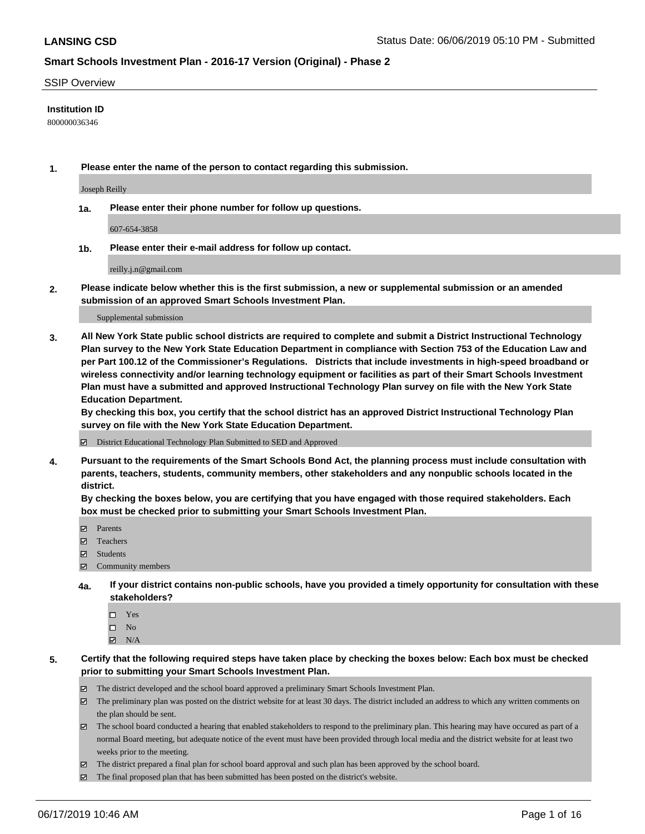#### SSIP Overview

### **Institution ID**

800000036346

**1. Please enter the name of the person to contact regarding this submission.**

Joseph Reilly

**1a. Please enter their phone number for follow up questions.**

607-654-3858

**1b. Please enter their e-mail address for follow up contact.**

reilly.j.n@gmail.com

**2. Please indicate below whether this is the first submission, a new or supplemental submission or an amended submission of an approved Smart Schools Investment Plan.**

#### Supplemental submission

**3. All New York State public school districts are required to complete and submit a District Instructional Technology Plan survey to the New York State Education Department in compliance with Section 753 of the Education Law and per Part 100.12 of the Commissioner's Regulations. Districts that include investments in high-speed broadband or wireless connectivity and/or learning technology equipment or facilities as part of their Smart Schools Investment Plan must have a submitted and approved Instructional Technology Plan survey on file with the New York State Education Department.** 

**By checking this box, you certify that the school district has an approved District Instructional Technology Plan survey on file with the New York State Education Department.**

District Educational Technology Plan Submitted to SED and Approved

**4. Pursuant to the requirements of the Smart Schools Bond Act, the planning process must include consultation with parents, teachers, students, community members, other stakeholders and any nonpublic schools located in the district.** 

**By checking the boxes below, you are certifying that you have engaged with those required stakeholders. Each box must be checked prior to submitting your Smart Schools Investment Plan.**

- Parents
- Teachers
- Students
- Community members
- **4a. If your district contains non-public schools, have you provided a timely opportunity for consultation with these stakeholders?**
	- □ Yes
	- $\square$  No
	- $N/A$
- **5. Certify that the following required steps have taken place by checking the boxes below: Each box must be checked prior to submitting your Smart Schools Investment Plan.**
	- The district developed and the school board approved a preliminary Smart Schools Investment Plan.
	- $\boxtimes$  The preliminary plan was posted on the district website for at least 30 days. The district included an address to which any written comments on the plan should be sent.
	- $\boxtimes$  The school board conducted a hearing that enabled stakeholders to respond to the preliminary plan. This hearing may have occured as part of a normal Board meeting, but adequate notice of the event must have been provided through local media and the district website for at least two weeks prior to the meeting.
	- The district prepared a final plan for school board approval and such plan has been approved by the school board.
	- $\boxtimes$  The final proposed plan that has been submitted has been posted on the district's website.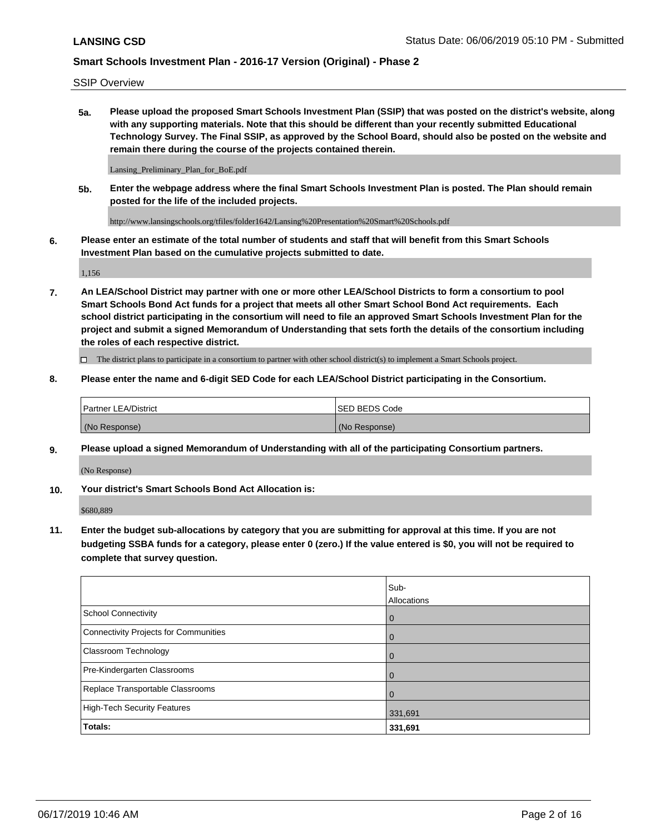SSIP Overview

**5a. Please upload the proposed Smart Schools Investment Plan (SSIP) that was posted on the district's website, along with any supporting materials. Note that this should be different than your recently submitted Educational Technology Survey. The Final SSIP, as approved by the School Board, should also be posted on the website and remain there during the course of the projects contained therein.**

Lansing\_Preliminary\_Plan\_for\_BoE.pdf

**5b. Enter the webpage address where the final Smart Schools Investment Plan is posted. The Plan should remain posted for the life of the included projects.**

http://www.lansingschools.org/tfiles/folder1642/Lansing%20Presentation%20Smart%20Schools.pdf

**6. Please enter an estimate of the total number of students and staff that will benefit from this Smart Schools Investment Plan based on the cumulative projects submitted to date.**

1,156

**7. An LEA/School District may partner with one or more other LEA/School Districts to form a consortium to pool Smart Schools Bond Act funds for a project that meets all other Smart School Bond Act requirements. Each school district participating in the consortium will need to file an approved Smart Schools Investment Plan for the project and submit a signed Memorandum of Understanding that sets forth the details of the consortium including the roles of each respective district.**

 $\Box$  The district plans to participate in a consortium to partner with other school district(s) to implement a Smart Schools project.

### **8. Please enter the name and 6-digit SED Code for each LEA/School District participating in the Consortium.**

| <b>Partner LEA/District</b> | <b>ISED BEDS Code</b> |
|-----------------------------|-----------------------|
| (No Response)               | (No Response)         |

#### **9. Please upload a signed Memorandum of Understanding with all of the participating Consortium partners.**

(No Response)

**10. Your district's Smart Schools Bond Act Allocation is:**

\$680,889

**11. Enter the budget sub-allocations by category that you are submitting for approval at this time. If you are not budgeting SSBA funds for a category, please enter 0 (zero.) If the value entered is \$0, you will not be required to complete that survey question.**

|                                       | Sub-<br>Allocations |
|---------------------------------------|---------------------|
| <b>School Connectivity</b>            | $\mathbf 0$         |
| Connectivity Projects for Communities | $\overline{0}$      |
| <b>Classroom Technology</b>           | 0                   |
| Pre-Kindergarten Classrooms           | $\Omega$            |
| Replace Transportable Classrooms      | $\Omega$            |
| High-Tech Security Features           | 331,691             |
| Totals:                               | 331,691             |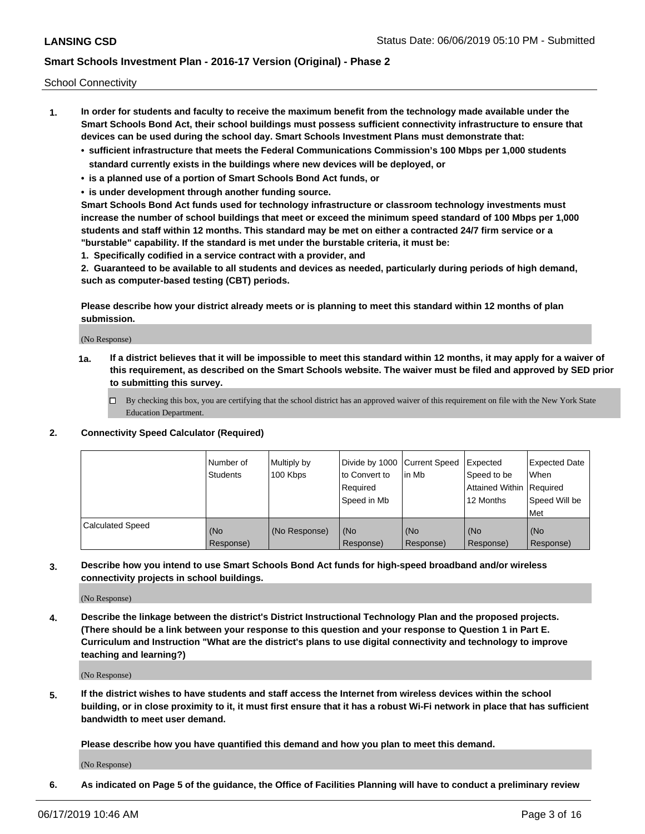School Connectivity

- **1. In order for students and faculty to receive the maximum benefit from the technology made available under the Smart Schools Bond Act, their school buildings must possess sufficient connectivity infrastructure to ensure that devices can be used during the school day. Smart Schools Investment Plans must demonstrate that:**
	- **• sufficient infrastructure that meets the Federal Communications Commission's 100 Mbps per 1,000 students standard currently exists in the buildings where new devices will be deployed, or**
	- **• is a planned use of a portion of Smart Schools Bond Act funds, or**
	- **• is under development through another funding source.**

**Smart Schools Bond Act funds used for technology infrastructure or classroom technology investments must increase the number of school buildings that meet or exceed the minimum speed standard of 100 Mbps per 1,000 students and staff within 12 months. This standard may be met on either a contracted 24/7 firm service or a "burstable" capability. If the standard is met under the burstable criteria, it must be:**

**1. Specifically codified in a service contract with a provider, and**

**2. Guaranteed to be available to all students and devices as needed, particularly during periods of high demand, such as computer-based testing (CBT) periods.**

**Please describe how your district already meets or is planning to meet this standard within 12 months of plan submission.**

(No Response)

**1a. If a district believes that it will be impossible to meet this standard within 12 months, it may apply for a waiver of this requirement, as described on the Smart Schools website. The waiver must be filed and approved by SED prior to submitting this survey.**

 $\Box$  By checking this box, you are certifying that the school district has an approved waiver of this requirement on file with the New York State Education Department.

### **2. Connectivity Speed Calculator (Required)**

|                         | l Number of<br>Students | Multiply by<br>100 Kbps | Divide by 1000 Current Speed<br>to Convert to<br>Required<br>l Speed in Mb | lin Mb           | Expected<br>Speed to be<br>Attained Within   Required<br>12 Months | <b>Expected Date</b><br>When<br>Speed Will be<br>Met |
|-------------------------|-------------------------|-------------------------|----------------------------------------------------------------------------|------------------|--------------------------------------------------------------------|------------------------------------------------------|
| <b>Calculated Speed</b> | (No<br>Response)        | (No Response)           | (No<br>Response)                                                           | (No<br>Response) | (No<br>Response)                                                   | (No<br>Response)                                     |

**3. Describe how you intend to use Smart Schools Bond Act funds for high-speed broadband and/or wireless connectivity projects in school buildings.**

(No Response)

**4. Describe the linkage between the district's District Instructional Technology Plan and the proposed projects. (There should be a link between your response to this question and your response to Question 1 in Part E. Curriculum and Instruction "What are the district's plans to use digital connectivity and technology to improve teaching and learning?)**

(No Response)

**5. If the district wishes to have students and staff access the Internet from wireless devices within the school building, or in close proximity to it, it must first ensure that it has a robust Wi-Fi network in place that has sufficient bandwidth to meet user demand.**

**Please describe how you have quantified this demand and how you plan to meet this demand.**

(No Response)

**6. As indicated on Page 5 of the guidance, the Office of Facilities Planning will have to conduct a preliminary review**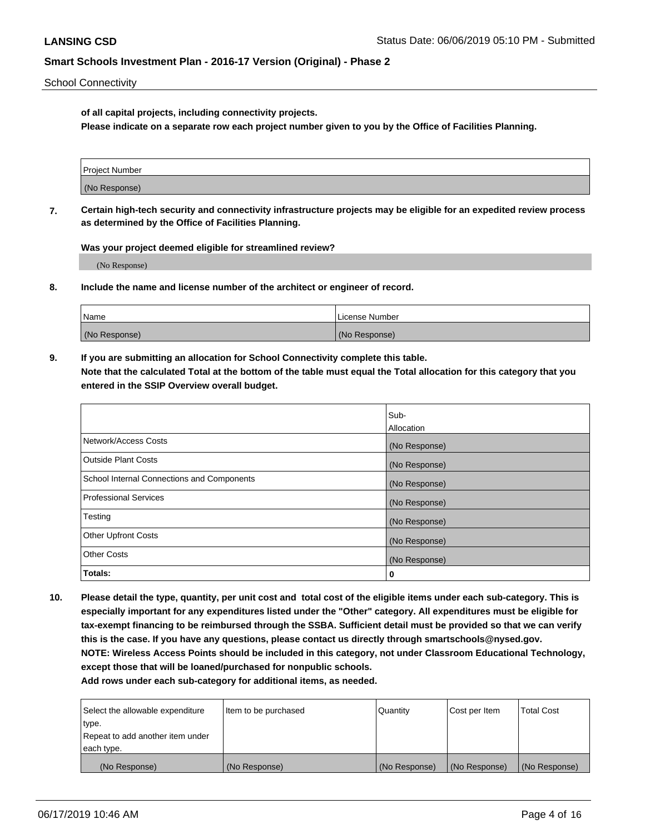School Connectivity

**of all capital projects, including connectivity projects.**

**Please indicate on a separate row each project number given to you by the Office of Facilities Planning.**

| Project Number |  |
|----------------|--|
|                |  |
| (No Response)  |  |
|                |  |

**7. Certain high-tech security and connectivity infrastructure projects may be eligible for an expedited review process as determined by the Office of Facilities Planning.**

**Was your project deemed eligible for streamlined review?**

(No Response)

**8. Include the name and license number of the architect or engineer of record.**

| Name          | License Number |
|---------------|----------------|
| (No Response) | (No Response)  |

**9. If you are submitting an allocation for School Connectivity complete this table. Note that the calculated Total at the bottom of the table must equal the Total allocation for this category that you entered in the SSIP Overview overall budget.** 

|                                            | Sub-          |
|--------------------------------------------|---------------|
|                                            | Allocation    |
| Network/Access Costs                       | (No Response) |
| <b>Outside Plant Costs</b>                 | (No Response) |
| School Internal Connections and Components | (No Response) |
| <b>Professional Services</b>               | (No Response) |
| Testing                                    | (No Response) |
| <b>Other Upfront Costs</b>                 | (No Response) |
| <b>Other Costs</b>                         | (No Response) |
| Totals:                                    | 0             |

**10. Please detail the type, quantity, per unit cost and total cost of the eligible items under each sub-category. This is especially important for any expenditures listed under the "Other" category. All expenditures must be eligible for tax-exempt financing to be reimbursed through the SSBA. Sufficient detail must be provided so that we can verify this is the case. If you have any questions, please contact us directly through smartschools@nysed.gov. NOTE: Wireless Access Points should be included in this category, not under Classroom Educational Technology, except those that will be loaned/purchased for nonpublic schools.**

| Select the allowable expenditure | Item to be purchased | Quantity      | Cost per Item | <b>Total Cost</b> |
|----------------------------------|----------------------|---------------|---------------|-------------------|
| type.                            |                      |               |               |                   |
| Repeat to add another item under |                      |               |               |                   |
| each type.                       |                      |               |               |                   |
| (No Response)                    | (No Response)        | (No Response) | (No Response) | (No Response)     |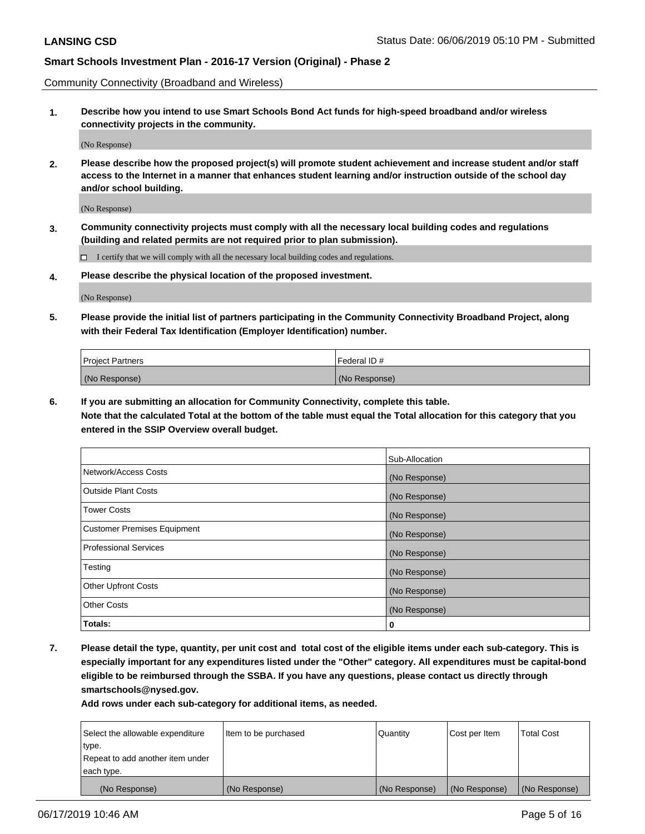Community Connectivity (Broadband and Wireless)

**1. Describe how you intend to use Smart Schools Bond Act funds for high-speed broadband and/or wireless connectivity projects in the community.**

(No Response)

**2. Please describe how the proposed project(s) will promote student achievement and increase student and/or staff access to the Internet in a manner that enhances student learning and/or instruction outside of the school day and/or school building.**

(No Response)

**3. Community connectivity projects must comply with all the necessary local building codes and regulations (building and related permits are not required prior to plan submission).**

 $\Box$  I certify that we will comply with all the necessary local building codes and regulations.

**4. Please describe the physical location of the proposed investment.**

(No Response)

**5. Please provide the initial list of partners participating in the Community Connectivity Broadband Project, along with their Federal Tax Identification (Employer Identification) number.**

| <b>Project Partners</b> | Federal ID#   |
|-------------------------|---------------|
| (No Response)           | (No Response) |

**6. If you are submitting an allocation for Community Connectivity, complete this table.**

**Note that the calculated Total at the bottom of the table must equal the Total allocation for this category that you entered in the SSIP Overview overall budget.**

|                                    | Sub-Allocation |
|------------------------------------|----------------|
| Network/Access Costs               | (No Response)  |
| <b>Outside Plant Costs</b>         | (No Response)  |
| <b>Tower Costs</b>                 | (No Response)  |
| <b>Customer Premises Equipment</b> | (No Response)  |
| <b>Professional Services</b>       | (No Response)  |
| Testing                            | (No Response)  |
| <b>Other Upfront Costs</b>         | (No Response)  |
| <b>Other Costs</b>                 | (No Response)  |
| Totals:                            | 0              |

**7. Please detail the type, quantity, per unit cost and total cost of the eligible items under each sub-category. This is especially important for any expenditures listed under the "Other" category. All expenditures must be capital-bond eligible to be reimbursed through the SSBA. If you have any questions, please contact us directly through smartschools@nysed.gov.**

| Select the allowable expenditure | Item to be purchased | Quantity      | Cost per Item | <b>Total Cost</b> |
|----------------------------------|----------------------|---------------|---------------|-------------------|
| type.                            |                      |               |               |                   |
| Repeat to add another item under |                      |               |               |                   |
| each type.                       |                      |               |               |                   |
| (No Response)                    | (No Response)        | (No Response) | (No Response) | (No Response)     |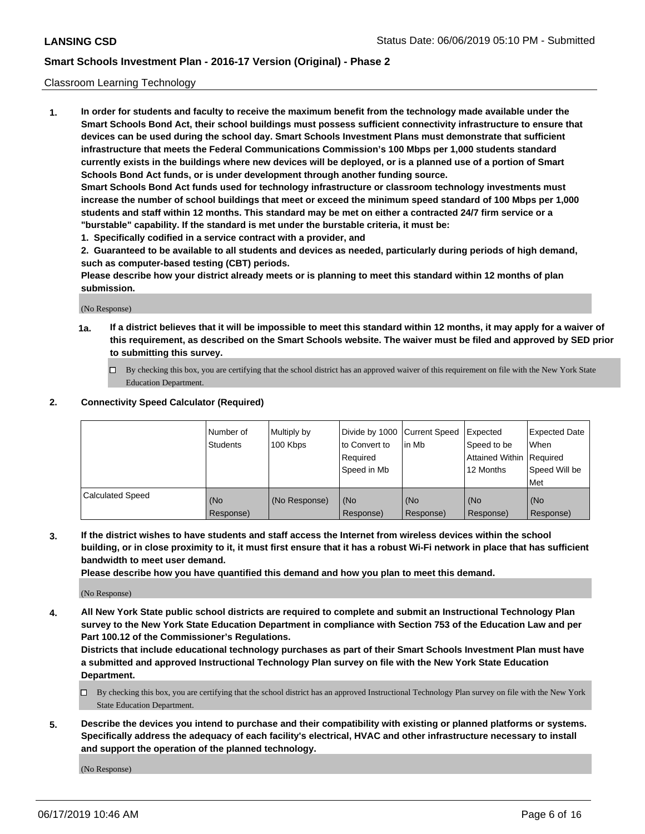### Classroom Learning Technology

**1. In order for students and faculty to receive the maximum benefit from the technology made available under the Smart Schools Bond Act, their school buildings must possess sufficient connectivity infrastructure to ensure that devices can be used during the school day. Smart Schools Investment Plans must demonstrate that sufficient infrastructure that meets the Federal Communications Commission's 100 Mbps per 1,000 students standard currently exists in the buildings where new devices will be deployed, or is a planned use of a portion of Smart Schools Bond Act funds, or is under development through another funding source. Smart Schools Bond Act funds used for technology infrastructure or classroom technology investments must increase the number of school buildings that meet or exceed the minimum speed standard of 100 Mbps per 1,000**

**students and staff within 12 months. This standard may be met on either a contracted 24/7 firm service or a "burstable" capability. If the standard is met under the burstable criteria, it must be:**

**1. Specifically codified in a service contract with a provider, and**

**2. Guaranteed to be available to all students and devices as needed, particularly during periods of high demand, such as computer-based testing (CBT) periods.**

**Please describe how your district already meets or is planning to meet this standard within 12 months of plan submission.**

(No Response)

- **1a. If a district believes that it will be impossible to meet this standard within 12 months, it may apply for a waiver of this requirement, as described on the Smart Schools website. The waiver must be filed and approved by SED prior to submitting this survey.**
	- By checking this box, you are certifying that the school district has an approved waiver of this requirement on file with the New York State Education Department.

### **2. Connectivity Speed Calculator (Required)**

|                         | I Number of<br>Students | Multiply by<br>100 Kbps | to Convert to<br>Required<br>Speed in Mb | Divide by 1000 Current Speed Expected<br>lin Mb | Speed to be<br>Attained Within Required<br>12 Months | <b>Expected Date</b><br>When<br>Speed Will be<br>Met |
|-------------------------|-------------------------|-------------------------|------------------------------------------|-------------------------------------------------|------------------------------------------------------|------------------------------------------------------|
| <b>Calculated Speed</b> | (No<br>Response)        | (No Response)           | (No<br>Response)                         | (No<br>Response)                                | (No<br>Response)                                     | (No<br>Response)                                     |

**3. If the district wishes to have students and staff access the Internet from wireless devices within the school building, or in close proximity to it, it must first ensure that it has a robust Wi-Fi network in place that has sufficient bandwidth to meet user demand.**

**Please describe how you have quantified this demand and how you plan to meet this demand.**

(No Response)

**4. All New York State public school districts are required to complete and submit an Instructional Technology Plan survey to the New York State Education Department in compliance with Section 753 of the Education Law and per Part 100.12 of the Commissioner's Regulations.**

**Districts that include educational technology purchases as part of their Smart Schools Investment Plan must have a submitted and approved Instructional Technology Plan survey on file with the New York State Education Department.**

- $\Box$  By checking this box, you are certifying that the school district has an approved Instructional Technology Plan survey on file with the New York State Education Department.
- **5. Describe the devices you intend to purchase and their compatibility with existing or planned platforms or systems. Specifically address the adequacy of each facility's electrical, HVAC and other infrastructure necessary to install and support the operation of the planned technology.**

(No Response)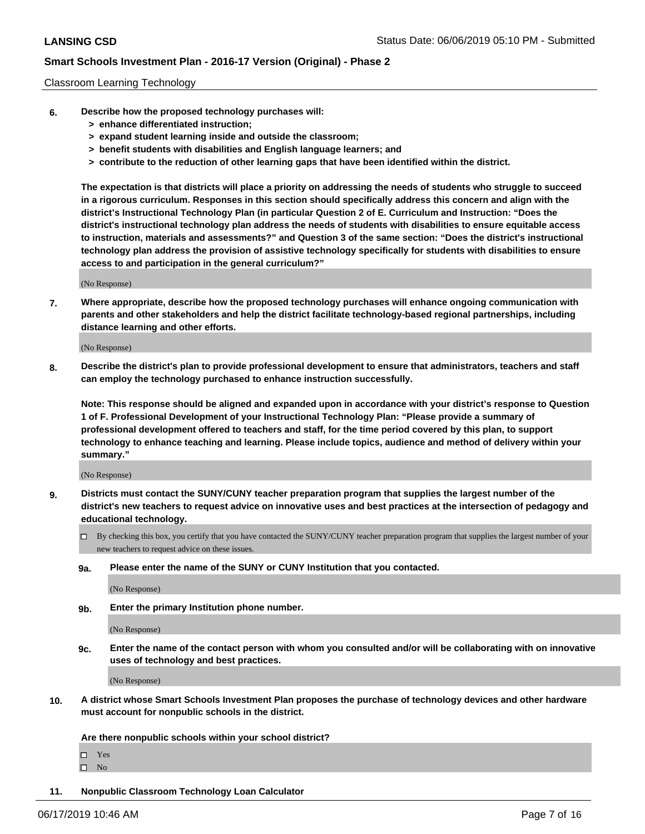#### Classroom Learning Technology

- **6. Describe how the proposed technology purchases will:**
	- **> enhance differentiated instruction;**
	- **> expand student learning inside and outside the classroom;**
	- **> benefit students with disabilities and English language learners; and**
	- **> contribute to the reduction of other learning gaps that have been identified within the district.**

**The expectation is that districts will place a priority on addressing the needs of students who struggle to succeed in a rigorous curriculum. Responses in this section should specifically address this concern and align with the district's Instructional Technology Plan (in particular Question 2 of E. Curriculum and Instruction: "Does the district's instructional technology plan address the needs of students with disabilities to ensure equitable access to instruction, materials and assessments?" and Question 3 of the same section: "Does the district's instructional technology plan address the provision of assistive technology specifically for students with disabilities to ensure access to and participation in the general curriculum?"**

(No Response)

**7. Where appropriate, describe how the proposed technology purchases will enhance ongoing communication with parents and other stakeholders and help the district facilitate technology-based regional partnerships, including distance learning and other efforts.**

(No Response)

**8. Describe the district's plan to provide professional development to ensure that administrators, teachers and staff can employ the technology purchased to enhance instruction successfully.**

**Note: This response should be aligned and expanded upon in accordance with your district's response to Question 1 of F. Professional Development of your Instructional Technology Plan: "Please provide a summary of professional development offered to teachers and staff, for the time period covered by this plan, to support technology to enhance teaching and learning. Please include topics, audience and method of delivery within your summary."**

(No Response)

- **9. Districts must contact the SUNY/CUNY teacher preparation program that supplies the largest number of the district's new teachers to request advice on innovative uses and best practices at the intersection of pedagogy and educational technology.**
	- By checking this box, you certify that you have contacted the SUNY/CUNY teacher preparation program that supplies the largest number of your new teachers to request advice on these issues.
	- **9a. Please enter the name of the SUNY or CUNY Institution that you contacted.**

(No Response)

**9b. Enter the primary Institution phone number.**

(No Response)

**9c. Enter the name of the contact person with whom you consulted and/or will be collaborating with on innovative uses of technology and best practices.**

(No Response)

**10. A district whose Smart Schools Investment Plan proposes the purchase of technology devices and other hardware must account for nonpublic schools in the district.**

**Are there nonpublic schools within your school district?**

Yes

 $\square$  No

**11. Nonpublic Classroom Technology Loan Calculator**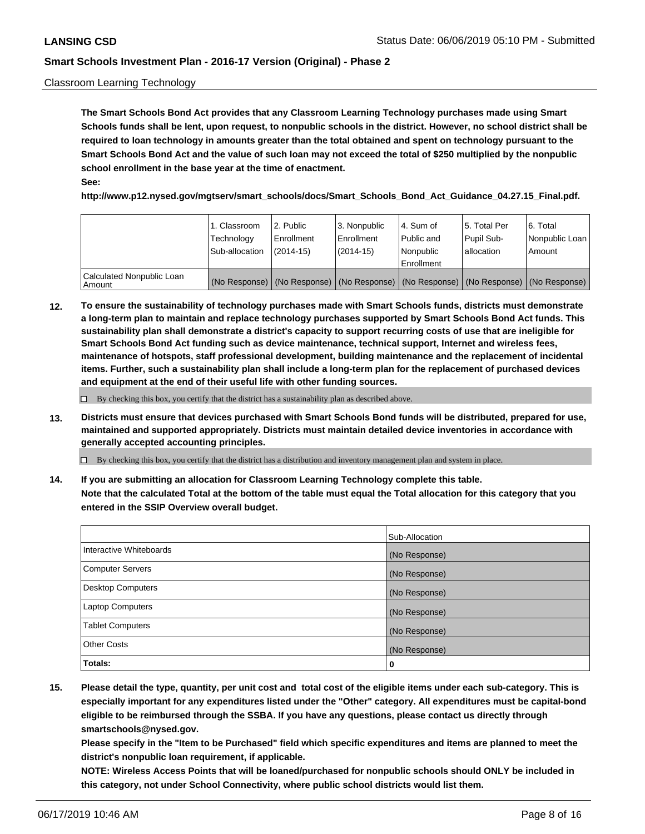### Classroom Learning Technology

**The Smart Schools Bond Act provides that any Classroom Learning Technology purchases made using Smart Schools funds shall be lent, upon request, to nonpublic schools in the district. However, no school district shall be required to loan technology in amounts greater than the total obtained and spent on technology pursuant to the Smart Schools Bond Act and the value of such loan may not exceed the total of \$250 multiplied by the nonpublic school enrollment in the base year at the time of enactment. See:**

**http://www.p12.nysed.gov/mgtserv/smart\_schools/docs/Smart\_Schools\_Bond\_Act\_Guidance\_04.27.15\_Final.pdf.**

|                                       | 1. Classroom<br>Technology<br>Sub-allocation | 2. Public<br>l Enrollment<br>$(2014-15)$ | l 3. Nonpublic<br>l Enrollment<br>$(2014 - 15)$ | l 4. Sum of<br>Public and<br>l Nonpublic<br>Enrollment                                        | 15. Total Per<br>Pupil Sub-<br>l allocation | l 6. Total<br>Nonpublic Loan<br>Amount |
|---------------------------------------|----------------------------------------------|------------------------------------------|-------------------------------------------------|-----------------------------------------------------------------------------------------------|---------------------------------------------|----------------------------------------|
| Calculated Nonpublic Loan<br>l Amount |                                              |                                          |                                                 | (No Response)   (No Response)   (No Response)   (No Response)   (No Response)   (No Response) |                                             |                                        |

**12. To ensure the sustainability of technology purchases made with Smart Schools funds, districts must demonstrate a long-term plan to maintain and replace technology purchases supported by Smart Schools Bond Act funds. This sustainability plan shall demonstrate a district's capacity to support recurring costs of use that are ineligible for Smart Schools Bond Act funding such as device maintenance, technical support, Internet and wireless fees, maintenance of hotspots, staff professional development, building maintenance and the replacement of incidental items. Further, such a sustainability plan shall include a long-term plan for the replacement of purchased devices and equipment at the end of their useful life with other funding sources.**

 $\Box$  By checking this box, you certify that the district has a sustainability plan as described above.

**13. Districts must ensure that devices purchased with Smart Schools Bond funds will be distributed, prepared for use, maintained and supported appropriately. Districts must maintain detailed device inventories in accordance with generally accepted accounting principles.**

By checking this box, you certify that the district has a distribution and inventory management plan and system in place.

**14. If you are submitting an allocation for Classroom Learning Technology complete this table. Note that the calculated Total at the bottom of the table must equal the Total allocation for this category that you entered in the SSIP Overview overall budget.**

|                          | Sub-Allocation |
|--------------------------|----------------|
| Interactive Whiteboards  | (No Response)  |
| Computer Servers         | (No Response)  |
| <b>Desktop Computers</b> | (No Response)  |
| Laptop Computers         | (No Response)  |
| <b>Tablet Computers</b>  | (No Response)  |
| <b>Other Costs</b>       | (No Response)  |
| Totals:                  | 0              |

**15. Please detail the type, quantity, per unit cost and total cost of the eligible items under each sub-category. This is especially important for any expenditures listed under the "Other" category. All expenditures must be capital-bond eligible to be reimbursed through the SSBA. If you have any questions, please contact us directly through smartschools@nysed.gov.**

**Please specify in the "Item to be Purchased" field which specific expenditures and items are planned to meet the district's nonpublic loan requirement, if applicable.**

**NOTE: Wireless Access Points that will be loaned/purchased for nonpublic schools should ONLY be included in this category, not under School Connectivity, where public school districts would list them.**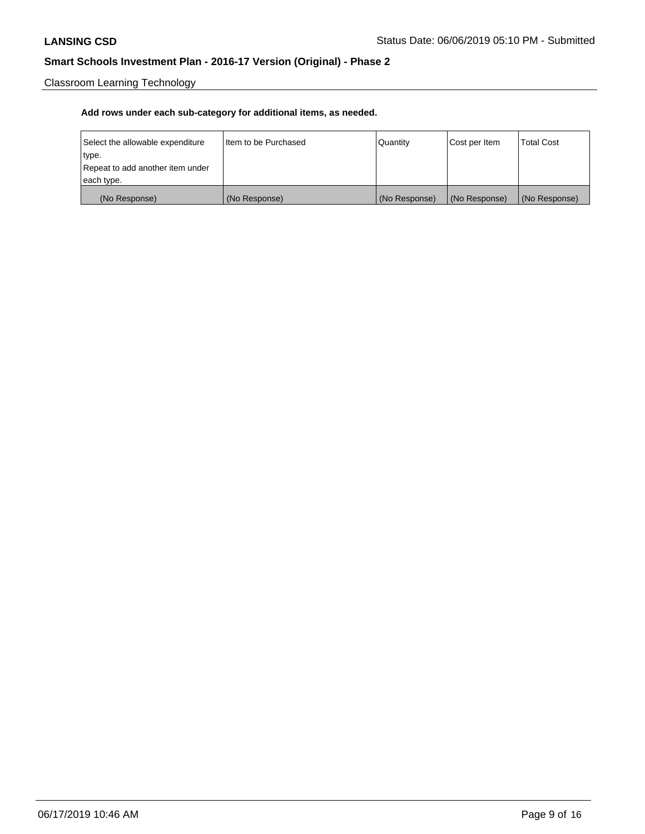Classroom Learning Technology

| Select the allowable expenditure | Iltem to be Purchased | Quantity      | Cost per Item | <b>Total Cost</b> |
|----------------------------------|-----------------------|---------------|---------------|-------------------|
| type.                            |                       |               |               |                   |
| Repeat to add another item under |                       |               |               |                   |
| each type.                       |                       |               |               |                   |
| (No Response)                    | (No Response)         | (No Response) | (No Response) | (No Response)     |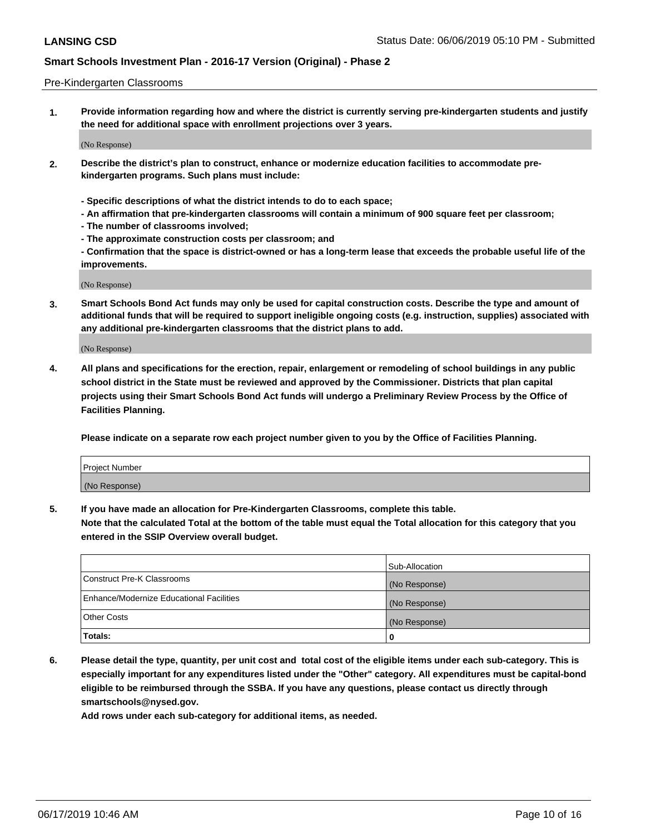#### Pre-Kindergarten Classrooms

**1. Provide information regarding how and where the district is currently serving pre-kindergarten students and justify the need for additional space with enrollment projections over 3 years.**

(No Response)

- **2. Describe the district's plan to construct, enhance or modernize education facilities to accommodate prekindergarten programs. Such plans must include:**
	- **Specific descriptions of what the district intends to do to each space;**
	- **An affirmation that pre-kindergarten classrooms will contain a minimum of 900 square feet per classroom;**
	- **The number of classrooms involved;**
	- **The approximate construction costs per classroom; and**
	- **Confirmation that the space is district-owned or has a long-term lease that exceeds the probable useful life of the improvements.**

(No Response)

**3. Smart Schools Bond Act funds may only be used for capital construction costs. Describe the type and amount of additional funds that will be required to support ineligible ongoing costs (e.g. instruction, supplies) associated with any additional pre-kindergarten classrooms that the district plans to add.**

(No Response)

**4. All plans and specifications for the erection, repair, enlargement or remodeling of school buildings in any public school district in the State must be reviewed and approved by the Commissioner. Districts that plan capital projects using their Smart Schools Bond Act funds will undergo a Preliminary Review Process by the Office of Facilities Planning.**

**Please indicate on a separate row each project number given to you by the Office of Facilities Planning.**

| Project Number |  |
|----------------|--|
| (No Response)  |  |
|                |  |

**5. If you have made an allocation for Pre-Kindergarten Classrooms, complete this table.**

**Note that the calculated Total at the bottom of the table must equal the Total allocation for this category that you entered in the SSIP Overview overall budget.**

|                                          | Sub-Allocation |
|------------------------------------------|----------------|
| Construct Pre-K Classrooms               | (No Response)  |
| Enhance/Modernize Educational Facilities | (No Response)  |
| <b>Other Costs</b>                       | (No Response)  |
| Totals:                                  | 0              |

**6. Please detail the type, quantity, per unit cost and total cost of the eligible items under each sub-category. This is especially important for any expenditures listed under the "Other" category. All expenditures must be capital-bond eligible to be reimbursed through the SSBA. If you have any questions, please contact us directly through smartschools@nysed.gov.**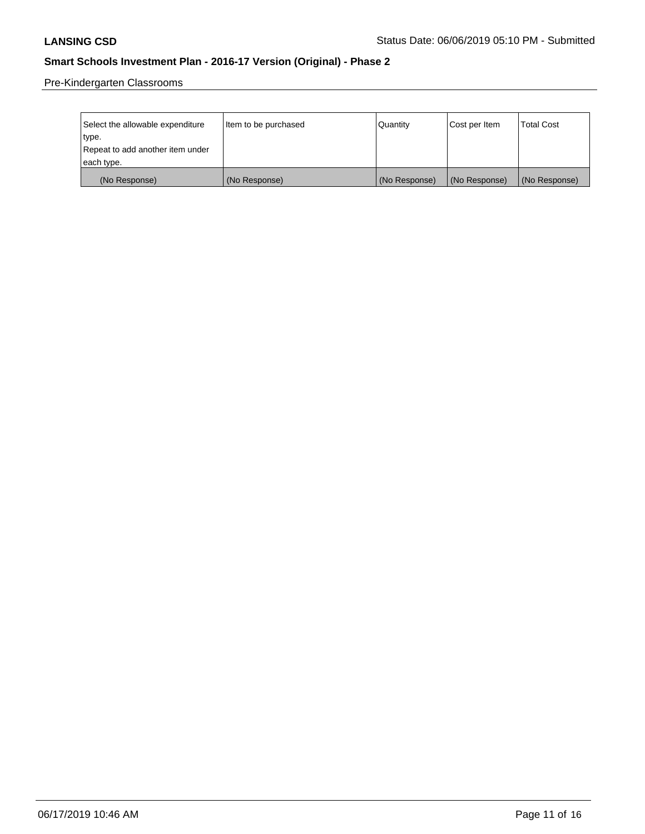Pre-Kindergarten Classrooms

| Select the allowable expenditure | Item to be purchased | Quantity      | Cost per Item | <b>Total Cost</b> |
|----------------------------------|----------------------|---------------|---------------|-------------------|
| type.                            |                      |               |               |                   |
| Repeat to add another item under |                      |               |               |                   |
| each type.                       |                      |               |               |                   |
| (No Response)                    | (No Response)        | (No Response) | (No Response) | (No Response)     |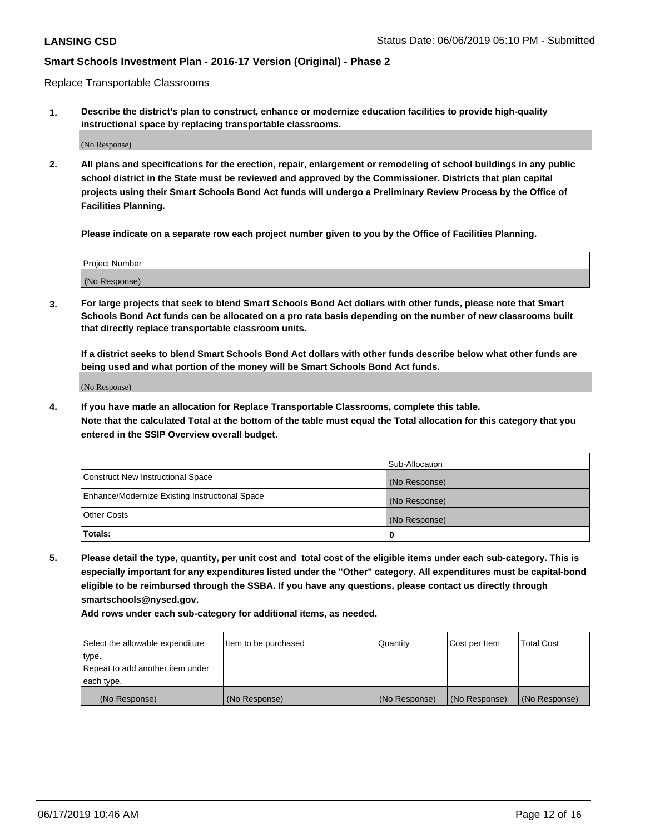Replace Transportable Classrooms

**1. Describe the district's plan to construct, enhance or modernize education facilities to provide high-quality instructional space by replacing transportable classrooms.**

(No Response)

**2. All plans and specifications for the erection, repair, enlargement or remodeling of school buildings in any public school district in the State must be reviewed and approved by the Commissioner. Districts that plan capital projects using their Smart Schools Bond Act funds will undergo a Preliminary Review Process by the Office of Facilities Planning.**

**Please indicate on a separate row each project number given to you by the Office of Facilities Planning.**

| Project Number |  |
|----------------|--|
|                |  |
|                |  |
|                |  |
|                |  |
| (No Response)  |  |
|                |  |
|                |  |
|                |  |

**3. For large projects that seek to blend Smart Schools Bond Act dollars with other funds, please note that Smart Schools Bond Act funds can be allocated on a pro rata basis depending on the number of new classrooms built that directly replace transportable classroom units.**

**If a district seeks to blend Smart Schools Bond Act dollars with other funds describe below what other funds are being used and what portion of the money will be Smart Schools Bond Act funds.**

(No Response)

**4. If you have made an allocation for Replace Transportable Classrooms, complete this table. Note that the calculated Total at the bottom of the table must equal the Total allocation for this category that you entered in the SSIP Overview overall budget.**

|                                                | Sub-Allocation |
|------------------------------------------------|----------------|
| Construct New Instructional Space              | (No Response)  |
| Enhance/Modernize Existing Instructional Space | (No Response)  |
| <b>Other Costs</b>                             | (No Response)  |
| Totals:                                        | 0              |

**5. Please detail the type, quantity, per unit cost and total cost of the eligible items under each sub-category. This is especially important for any expenditures listed under the "Other" category. All expenditures must be capital-bond eligible to be reimbursed through the SSBA. If you have any questions, please contact us directly through smartschools@nysed.gov.**

| Select the allowable expenditure | I ltem to be purchased | l Quantitv    | Cost per Item | <b>Total Cost</b> |
|----------------------------------|------------------------|---------------|---------------|-------------------|
| type.                            |                        |               |               |                   |
| Repeat to add another item under |                        |               |               |                   |
| each type.                       |                        |               |               |                   |
| (No Response)                    | (No Response)          | (No Response) | (No Response) | (No Response)     |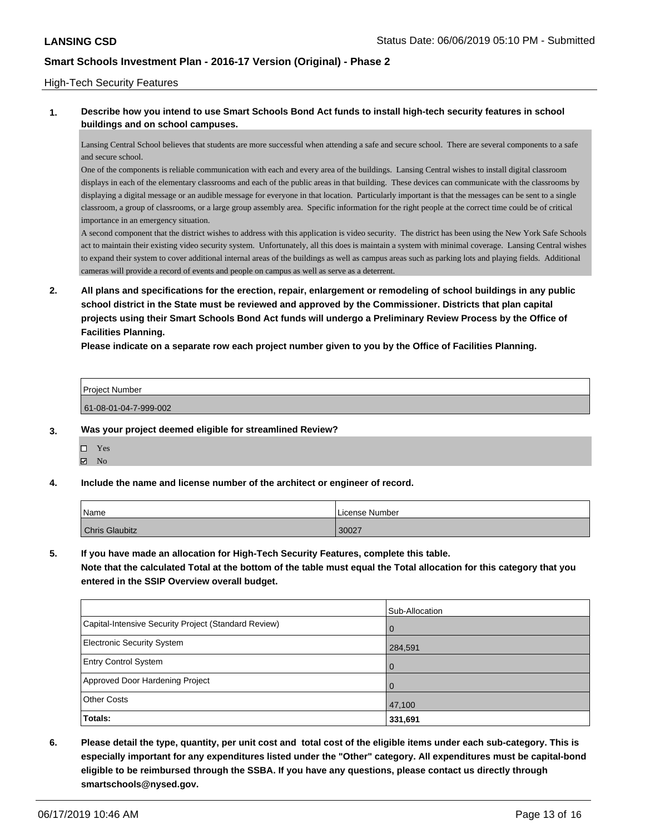### High-Tech Security Features

### **1. Describe how you intend to use Smart Schools Bond Act funds to install high-tech security features in school buildings and on school campuses.**

Lansing Central School believes that students are more successful when attending a safe and secure school. There are several components to a safe and secure school.

One of the components is reliable communication with each and every area of the buildings. Lansing Central wishes to install digital classroom displays in each of the elementary classrooms and each of the public areas in that building. These devices can communicate with the classrooms by displaying a digital message or an audible message for everyone in that location. Particularly important is that the messages can be sent to a single classroom, a group of classrooms, or a large group assembly area. Specific information for the right people at the correct time could be of critical importance in an emergency situation.

A second component that the district wishes to address with this application is video security. The district has been using the New York Safe Schools act to maintain their existing video security system. Unfortunately, all this does is maintain a system with minimal coverage. Lansing Central wishes to expand their system to cover additional internal areas of the buildings as well as campus areas such as parking lots and playing fields. Additional cameras will provide a record of events and people on campus as well as serve as a deterrent.

**2. All plans and specifications for the erection, repair, enlargement or remodeling of school buildings in any public school district in the State must be reviewed and approved by the Commissioner. Districts that plan capital projects using their Smart Schools Bond Act funds will undergo a Preliminary Review Process by the Office of Facilities Planning.** 

**Please indicate on a separate row each project number given to you by the Office of Facilities Planning.**

| l Proiect Number      |  |
|-----------------------|--|
| 61-08-01-04-7-999-002 |  |

#### **3. Was your project deemed eligible for streamlined Review?**

- Yes  $\boxtimes$  No
- **4. Include the name and license number of the architect or engineer of record.**

| <b>Name</b>           | License Number |
|-----------------------|----------------|
| <b>Chris Glaubitz</b> | 30027          |

**5. If you have made an allocation for High-Tech Security Features, complete this table.**

**Note that the calculated Total at the bottom of the table must equal the Total allocation for this category that you entered in the SSIP Overview overall budget.**

|                                                      | Sub-Allocation |
|------------------------------------------------------|----------------|
| Capital-Intensive Security Project (Standard Review) | $\Omega$       |
| <b>Electronic Security System</b>                    | 284,591        |
| <b>Entry Control System</b>                          | $\Omega$       |
| Approved Door Hardening Project                      | $\Omega$       |
| <b>Other Costs</b>                                   | 47,100         |
| Totals:                                              | 331,691        |

**6. Please detail the type, quantity, per unit cost and total cost of the eligible items under each sub-category. This is especially important for any expenditures listed under the "Other" category. All expenditures must be capital-bond eligible to be reimbursed through the SSBA. If you have any questions, please contact us directly through smartschools@nysed.gov.**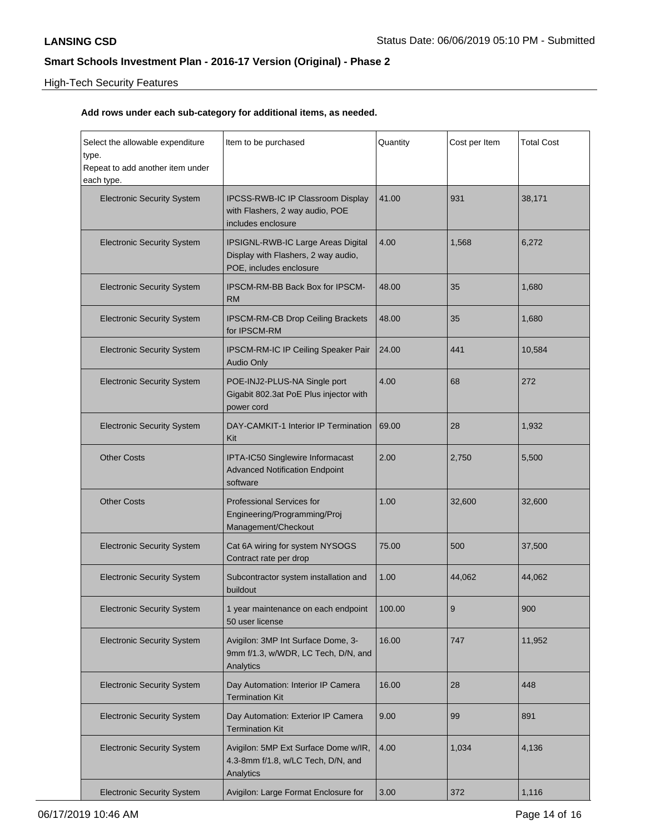# High-Tech Security Features

| Select the allowable expenditure<br>type.<br>Repeat to add another item under<br>each type. | Item to be purchased                                                                                 | Quantity | Cost per Item | <b>Total Cost</b> |
|---------------------------------------------------------------------------------------------|------------------------------------------------------------------------------------------------------|----------|---------------|-------------------|
| <b>Electronic Security System</b>                                                           | IPCSS-RWB-IC IP Classroom Display<br>with Flashers, 2 way audio, POE<br>includes enclosure           | 41.00    | 931           | 38,171            |
| <b>Electronic Security System</b>                                                           | IPSIGNL-RWB-IC Large Areas Digital<br>Display with Flashers, 2 way audio,<br>POE, includes enclosure | 4.00     | 1,568         | 6,272             |
| <b>Electronic Security System</b>                                                           | <b>IPSCM-RM-BB Back Box for IPSCM-</b><br><b>RM</b>                                                  | 48.00    | 35            | 1,680             |
| <b>Electronic Security System</b>                                                           | <b>IPSCM-RM-CB Drop Ceiling Brackets</b><br>for IPSCM-RM                                             | 48.00    | 35            | 1,680             |
| <b>Electronic Security System</b>                                                           | IPSCM-RM-IC IP Ceiling Speaker Pair<br><b>Audio Only</b>                                             | 24.00    | 441           | 10,584            |
| <b>Electronic Security System</b>                                                           | POE-INJ2-PLUS-NA Single port<br>Gigabit 802.3at PoE Plus injector with<br>power cord                 | 4.00     | 68            | 272               |
| <b>Electronic Security System</b>                                                           | DAY-CAMKIT-1 Interior IP Termination<br>Kit                                                          | 69.00    | 28            | 1,932             |
| <b>Other Costs</b>                                                                          | IPTA-IC50 Singlewire Informacast<br><b>Advanced Notification Endpoint</b><br>software                | 2.00     | 2,750         | 5,500             |
| <b>Other Costs</b>                                                                          | <b>Professional Services for</b><br>Engineering/Programming/Proj<br>Management/Checkout              | 1.00     | 32,600        | 32,600            |
| <b>Electronic Security System</b>                                                           | Cat 6A wiring for system NYSOGS<br>Contract rate per drop                                            | 75.00    | 500           | 37,500            |
| <b>Electronic Security System</b>                                                           | Subcontractor system installation and<br>buildout                                                    | 1.00     | 44,062        | 44,062            |
| <b>Electronic Security System</b>                                                           | 1 year maintenance on each endpoint<br>50 user license                                               | 100.00   | 9             | 900               |
| <b>Electronic Security System</b>                                                           | Avigilon: 3MP Int Surface Dome, 3-<br>9mm f/1.3, w/WDR, LC Tech, D/N, and<br>Analytics               | 16.00    | 747           | 11,952            |
| <b>Electronic Security System</b>                                                           | Day Automation: Interior IP Camera<br><b>Termination Kit</b>                                         | 16.00    | 28            | 448               |
| <b>Electronic Security System</b>                                                           | Day Automation: Exterior IP Camera<br><b>Termination Kit</b>                                         | 9.00     | 99            | 891               |
| <b>Electronic Security System</b>                                                           | Avigilon: 5MP Ext Surface Dome w/IR,<br>4.3-8mm f/1.8, w/LC Tech, D/N, and<br>Analytics              | 4.00     | 1,034         | 4,136             |
| <b>Electronic Security System</b>                                                           | Avigilon: Large Format Enclosure for                                                                 | 3.00     | 372           | 1,116             |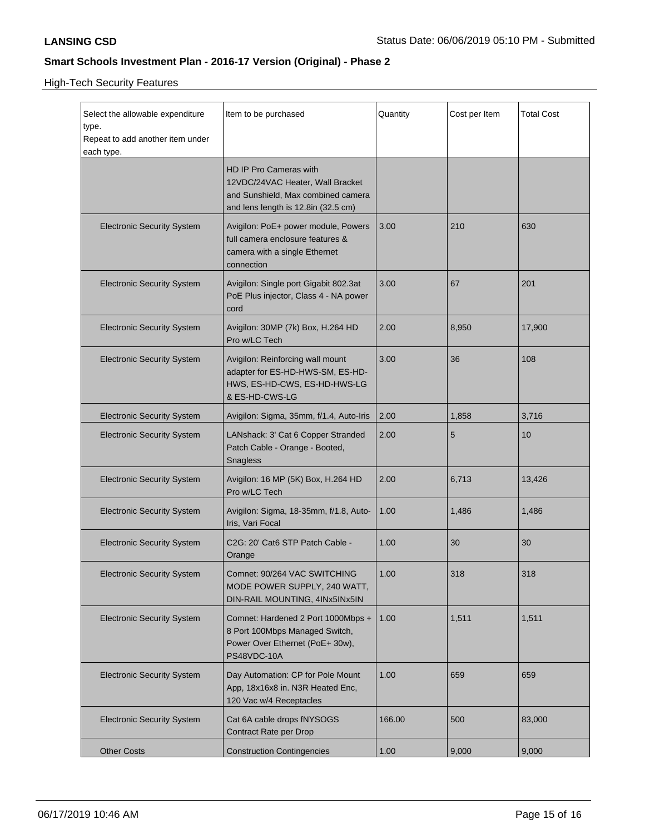High-Tech Security Features

| Select the allowable expenditure<br>type.<br>Repeat to add another item under<br>each type. | Item to be purchased                                                                                                                           | Quantity | Cost per Item | <b>Total Cost</b> |
|---------------------------------------------------------------------------------------------|------------------------------------------------------------------------------------------------------------------------------------------------|----------|---------------|-------------------|
|                                                                                             | <b>HD IP Pro Cameras with</b><br>12VDC/24VAC Heater, Wall Bracket<br>and Sunshield, Max combined camera<br>and lens length is 12.8in (32.5 cm) |          |               |                   |
| <b>Electronic Security System</b>                                                           | Avigilon: PoE+ power module, Powers<br>full camera enclosure features &<br>camera with a single Ethernet<br>connection                         | 3.00     | 210           | 630               |
| <b>Electronic Security System</b>                                                           | Avigilon: Single port Gigabit 802.3at<br>PoE Plus injector, Class 4 - NA power<br>cord                                                         | 3.00     | 67            | 201               |
| <b>Electronic Security System</b>                                                           | Avigilon: 30MP (7k) Box, H.264 HD<br>Pro w/LC Tech                                                                                             | 2.00     | 8,950         | 17,900            |
| <b>Electronic Security System</b>                                                           | Avigilon: Reinforcing wall mount<br>adapter for ES-HD-HWS-SM, ES-HD-<br>HWS, ES-HD-CWS, ES-HD-HWS-LG<br>& ES-HD-CWS-LG                         | 3.00     | 36            | 108               |
| <b>Electronic Security System</b>                                                           | Avigilon: Sigma, 35mm, f/1.4, Auto-Iris                                                                                                        | 2.00     | 1,858         | 3,716             |
| <b>Electronic Security System</b>                                                           | LANshack: 3' Cat 6 Copper Stranded<br>Patch Cable - Orange - Booted,<br><b>Snagless</b>                                                        | 2.00     | 5             | 10                |
| <b>Electronic Security System</b>                                                           | Avigilon: 16 MP (5K) Box, H.264 HD<br>Pro w/LC Tech                                                                                            | 2.00     | 6,713         | 13,426            |
| <b>Electronic Security System</b>                                                           | Avigilon: Sigma, 18-35mm, f/1.8, Auto-<br>Iris, Vari Focal                                                                                     | 1.00     | 1,486         | 1,486             |
| <b>Electronic Security System</b>                                                           | C2G: 20' Cat6 STP Patch Cable -<br>Orange                                                                                                      | 1.00     | 30            | 30                |
| <b>Electronic Security System</b>                                                           | Comnet: 90/264 VAC SWITCHING<br>MODE POWER SUPPLY, 240 WATT,<br>DIN-RAIL MOUNTING, 4INx5INx5IN                                                 | 1.00     | 318           | 318               |
| <b>Electronic Security System</b>                                                           | Comnet: Hardened 2 Port 1000Mbps +<br>8 Port 100Mbps Managed Switch,<br>Power Over Ethernet (PoE+ 30w),<br>PS48VDC-10A                         | 1.00     | 1,511         | 1,511             |
| <b>Electronic Security System</b>                                                           | Day Automation: CP for Pole Mount<br>App, 18x16x8 in. N3R Heated Enc,<br>120 Vac w/4 Receptacles                                               | 1.00     | 659           | 659               |
| <b>Electronic Security System</b>                                                           | Cat 6A cable drops fNYSOGS<br>Contract Rate per Drop                                                                                           | 166.00   | 500           | 83,000            |
| <b>Other Costs</b>                                                                          | <b>Construction Contingencies</b>                                                                                                              | 1.00     | 9,000         | 9,000             |